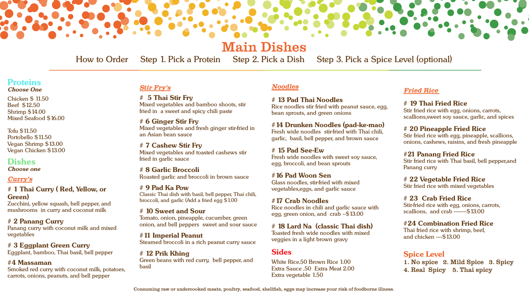

How to Order Step 1. Pick a Protein Step 2. Pick a Dish Step 3. Pick a Spice Level (optional)



Main Dishes

## **Proteins**

*Choose One*

Chicken \$ 11.50 Beef \$12.50 Shrimp \$14.00 Mixed Seafood \$16.00

Tofu \$11.50 Portobello \$11.50 Vegan Shrimp \$13.00 Vegan Chicken \$13.00

**Dishes**

*Choose one*

### *Curry's*

**# 1 Thai Curry ( Red, Yellow, or Green)**

Zucchini, yellow squash, bell pepper, and mushrooms in curry and coconut milk

**# 2 Panang Curry** Panang curry with coconut milk and mixed vegetables

**# 3 Eggplant Green Curry** Eggplant, bamboo, Thai basil, bell pepper

### **#4 Massaman**

Smoked red curry with coconut milk, potatoes, carrots, onions, peanuts, and bell pepper

### *Noodles*

**# 13 Pad Thai Noodles** Rice noodles stir fried with peanut sauce, egg, bean sprouts, and green onions

**#14 Drunken Noodles (pad-ke-mao)** Fresh wide noodles stir-fried with Thai chili, garlic, basil, bell pepper, and brown sauce

**# 15 Pad See-Ew** Fresh wide noodles with sweet soy sauce, egg, broccoli, and bean sprouts

**#16 Pad Woon Sen** Glass noodles, stir-fried with mixed vegetables,eggs, and garlic sauce

**#17 Crab Noodles** Rice noodles in chili and garlic sauce with egg, green onion, and crab --\$13.00

**# 18 Lard Na (classic Thai dish)** Toasted fresh wide noodles with mixed veggies in a light brown gravy

### **Sides**

White Rice.50 Brown Rice 1.00 Extra Sauce .50 Extra Meat 2.00 Extra vegetable 1.50

### **Spice Level**

1. No spice 2. Mild Spice 3. Spicy 4. Real Spicy 5. Thai spicy

*Stir Fry's*

**# 5 Thai Stir Fry** Mixed vegetables and bamboo shoots, stir fried in a sweet and spicy chili paste

**# 6 Ginger Stir Fry** Mixed vegetables and fresh ginger stir-fried in an Asian bean sauce

**# 7 Cashew Stir Fry** Mixed vegetables and toasted cashews stir fried in garlic sauce

**# 8 Garlic Broccoli** Roasted garlic and broccoli in brown sauce

**# 9 Pad Ka Pow** Classic Thai dish with basil, bell pepper, Thai chili, broccoli, and garlic (Add a fried egg \$1.00

**# 10 Sweet and Sour** Tomato, onion, pineapple, cucumber, green onion, and bell peppers sweet and sour sauce

**#11 Imperial Peanut** Steamed broccoli in a rich peanut curry sauce

**# 12 Prik Khing** Green beans with red curry, bell pepper, and basil

|  |  | step 3. Pick a Spice Level |
|--|--|----------------------------|
|  |  |                            |

### *Fried Rice*

### **# 19 Thai Fried Rice**

Stir fried rice with egg, onions, carrots, scallions,sweet soy sauce, garlic, and spices

### **# 20 Pineapple Fried Rice**

Stir fried rice with egg, pineapple, scallions, onions, cashews, raisins, and fresh pineapple

### **#21 Panang Fried Rice**

Stir fried rice with Thai basil, bell pepper,and Panang curry

### **# 22 Vegetable Fried Rice**

Stir fried rice with mixed vegetables

### **# 23 Crab Fried Rice**

Stir-fried rice with egg, onions, carrots, scallions, and crab --------\$13.00

### **#24 Combination Fried Rice**

Thai fried rice with shrimp, beef, and chicken ----\$13.00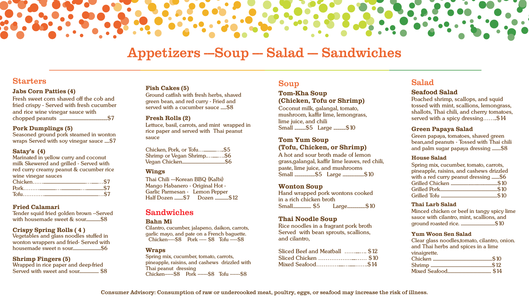

# Appetizers --Soup --- Salad --- Sandwiches

### **Starters**

Consumer Advisory: Consumption of raw or undercooked meat, poultry, eggs, or seafood may increase the risk of illness.

### **Jabs Corn Patties (4)**

Fresh sweet corn shaved off the cob and fried crispy - Served with fresh cucumber and rice wine vinegar sauce with chopped peanuts ...............................................\$7

#### **Pork Dumplings (5)**

Seasoned ground pork steamed in wonton wraps Served with soy vinegar sauce .....\$7

### **Satay's (4)**

Marinated in yellow curry and coconut milk Skewered and grilled - Served with red curry creamy peanut & cucumber rice wine vinegar sauces Chicken……............................................….......…\$7 Pork……….................…....................…..................\$7

Tofu…………........................................................…\$7

### **Fried Calamari**

Tender squid fried golden brown --Served with housemade sweet & sour...............\$8

#### **Crispy Spring Rolls ( 4 )**

Vegetables and glass noodles stuffed in wonton wrappers and fried- Served with housemade sweet n sour.............................\$6

#### **Shrimp Fingers (5)**

Poached shrimp, scallops, and squid tossed with mint, scallions, lemongrass, shallots, Thai chili, and cherry tomatoes, served with a spicy dressing........\$14

Wrapped in rice paper and deep-fried Served with sweet and sour.................... \$8

### Sandwiches

#### **Bahn Mi**

Cilantro, cucumber, jalapeno, daikon, carrots, garlic mayo, and pate on a French baguette. Chicken-----\$8 Pork ----- \$8 Tofu -----\$8

#### **Wraps**

Spring mix, cucumber, tomato, carrots, pineapple, raisins, and cashews drizzled with Thai peanut dressing Chicken------\$8 Pork -------\$8 Tofu -------\$8

### Soup

### **Tom-Kha Soup (Chicken, Tofu or Shrimp)**

Coconut milk, galangal, tomato, mushroom, kaffir lime, lemongrass, lime juice, and chili Small ...........\$5 Large ............\$10

Ground catfish with fresh herbs, shaved green bean, and red curry - Fried and served with a cucumber sauce ......\$8

### **Tom Yum Soup (Tofu, Chicken, or Shrimp)**

A hot and sour broth made of lemon grass,galangal, kaffir lime leaves, red chili, paste, lime juice, and mushrooms Small ....................\$5 Large .....................\$10

### **Wonton Soup**

Hand wrapped pork wontons cooked in a rich chicken broth Small.................. \$5 Large..................\$10

### **Thai Noodle Soup**

Rice noodles in a fragrant pork broth Served with bean sprouts, scallions, and cilantro,

| Sliced Beef and Meatball  \$12 |  |
|--------------------------------|--|
|                                |  |
|                                |  |

## Salad

### **Seafood Salad**

### **Green Papaya Salad**

Green papaya, tomatoes, shaved green bean,and peanuts - Tossed with Thai chili and palm sugar papaya dressing .........\$8

### **House Salad**

| Spring mix, cucumber, tomato, carrots,   |  |
|------------------------------------------|--|
| pineapple, raisins, and cashews drizzled |  |
| with a red curry peanut dressing \$6     |  |
|                                          |  |
|                                          |  |
|                                          |  |

### **Thai Larb Salad**

Minced chicken or beef in tangy spicy lime sauce with cilantro, mint, scallions, and ground roasted rice. ...................................\$10

### **Yum Woon Sen Salad**

Clear glass noodles,tomato, cilantro, onion. and Thai herbs and spices in a lime vinaigrette. Chicken .............................................................\$10 Shrimp ...............................................................\$12 Mixed Seafood............................................. \$14

#### **Fish Cakes (5)**

#### **Fresh Rolls (2)**

Lettuce, basil, carrots, and mint wrapped in rice paper and served with Thai peanut sauce

| Chicken, Pork, or Tofu\$5 |  |
|---------------------------|--|
| Shrimp or Vegan Shrimp\$6 |  |
|                           |  |

#### **Wings**

Thai Chili ---Korean BBQ (Kalbi) Mango Habanero - Original Hot - Garlic Parmesan - Lemon Pepper Half Dozen .........\$7 Dozen ..............\$12